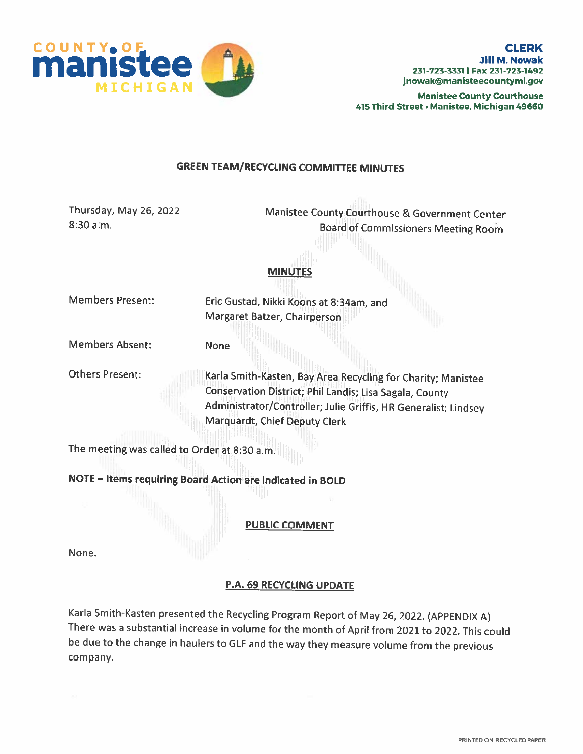

Manistee County Courthouse 415 Third Street• Manistee, Michigan 49660

### GREEN TEAM/RECYCLING COMMITFEE MINUTES

| Thursday, May 26, 2022<br>8:30 a.m.          | Manistee County Courthouse & Government Center<br><b>Board of Commissioners Meeting Room</b>                                                                                                                                |
|----------------------------------------------|-----------------------------------------------------------------------------------------------------------------------------------------------------------------------------------------------------------------------------|
|                                              | <b>MINUTES</b>                                                                                                                                                                                                              |
| <b>Members Present:</b>                      | Eric Gustad, Nikki Koons at 8:34am, and<br>Margaret Batzer, Chairperson                                                                                                                                                     |
| <b>Members Absent:</b>                       | <b>None</b>                                                                                                                                                                                                                 |
| <b>Others Present:</b>                       | Karla Smith-Kasten, Bay Area Recycling for Charity; Manistee<br>Conservation District; Phil Landis; Lisa Sagala, County<br>Administrator/Controller; Julie Griffis, HR Generalist; Lindsey<br>Marquardt, Chief Deputy Clerk |
| The meeting was called to Order at 8:30 a.m. |                                                                                                                                                                                                                             |
|                                              | NOTE - Items requiring Board Action are indicated in BOLD<br><b>PUBLIC COMMENT</b>                                                                                                                                          |
| None.                                        |                                                                                                                                                                                                                             |

## P.A. 69 RECYCLING UPDATE

Karla Smith-Kasten presented the Recycling Program Report of May 26, 2022. (APPENDIX A) There was <sup>a</sup> substantial increase in volume for the month of April from <sup>2021</sup> to 2022. This could be due to the change in haulers to GLF and the way they measure volume from the previous company.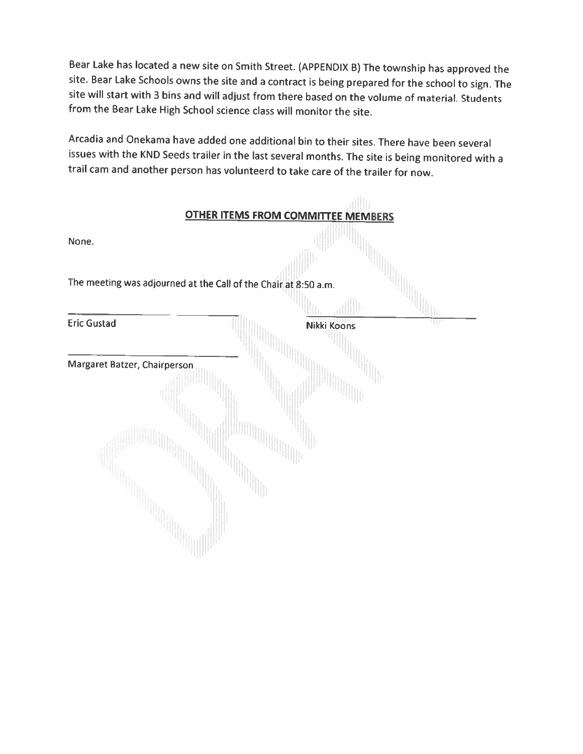Bear Lake has located <sup>a</sup> new site on Smith Street. (APPENDIX B) The township has approved the site. Bear Lake Schools owns the site and a contract is being prepared for the school to sign. The site will start with <sup>3</sup> bins and will adjust from there based on the volume of material. Students from the Bear Lake High School science class will monitor the site.

Arcadia and Onekama have added one additional bin to their sites. There have been several issues with the KNO Seeds trailer in the last several months. The site is being monitored with <sup>a</sup> trail cam and another person has volunteerd to take care of the trailer for now.

| <b>OTHER ITEMS FROM COMMITTEE MEMBERS</b>                       |             |
|-----------------------------------------------------------------|-------------|
| None.                                                           |             |
| The meeting was adjourned at the Call of the Chair at 8:50 a.m. |             |
|                                                                 |             |
| <b>Eric Gustad</b>                                              | Nikki Koons |
| Margaret Batzer, Chairperson                                    |             |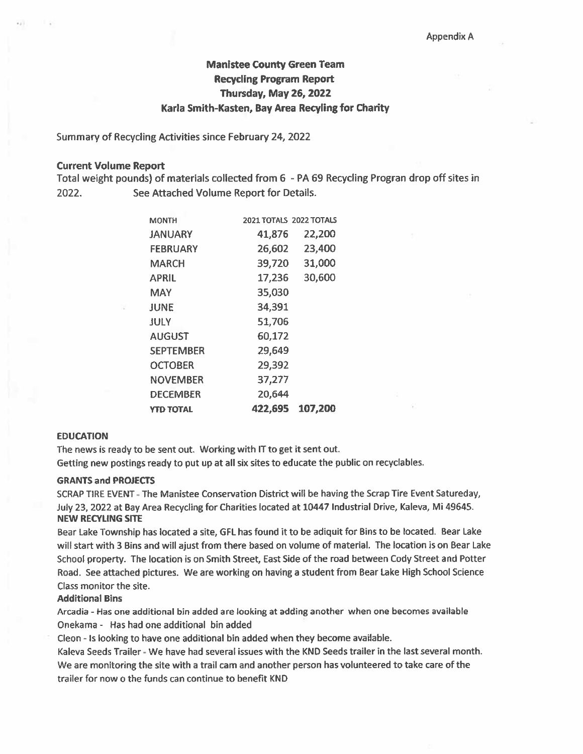# Manistee County Green Team Recycling Program Report Thursday, May 26, 2022 Karla Smith-Kasten, Bay Area Recyling for Charity

Summary of Recycling Activities since February 24, 2022

#### Current Volume Report

Total weight pounds) of materials collected from 6 - PA <sup>69</sup> Recycling Progran drop off sites in 2022. See Attached Volume Report for Details.

| <b>MONTH</b>     | 2021 TOTALS 2022 TOTALS |         |
|------------------|-------------------------|---------|
| <b>JANUARY</b>   | 41,876                  | 22,200  |
| <b>FEBRUARY</b>  | 26,602                  | 23,400  |
| MARCH            | 39,720                  | 31,000  |
| <b>APRIL</b>     | 17,236                  | 30,600  |
| MAY              | 35,030                  |         |
| <b>JUNE</b>      | 34,391                  |         |
| JULY             | 51,706                  |         |
| <b>AUGUST</b>    | 60,172                  |         |
| <b>SEPTEMBER</b> | 29,649                  |         |
| <b>OCTOBER</b>   | 29,392                  |         |
| NOVEMBER         | 37,277                  |         |
| <b>DECEMBER</b>  | 20,644                  |         |
| <b>YTD TOTAL</b> | 422,695                 | 107,200 |

### EDUCATION

The news is ready to be sent out. Working with IT to ge<sup>t</sup> it sent out. Getting new postings ready to pu<sup>t</sup> up at all six sites to educate the public on recyclables.

#### GRANTS and PROJECTS

SCRAP TIRE EVENT -The Manistee Conservation District will be having the Scrap Tire Event Satureday, July 23, 2022 at Bay Area Recycling for Charities located at 10447 Industrial Drive, Kaleva, Mi 49645. NEW RECYUNG SITE

Bear Lake Township has located <sup>a</sup> site, GEL has found it to be adiquit for Bins to be located. Bear Lake will start with 3 Bins and will ajust from there based on volume of material. The location is on Bear Lake School property. The location is an Smith Street, East Side of the road between Cody Street and Potter Road. See attached pictures. We are working on having <sup>a</sup> student from Bear Lake High School Science Class monitor the site.

#### Additional Bins

Arcadia - Has one additional bin added are looking at adding another when one becomes available Onekama - Has had one additional bin added

Cleon - Is looking to have one additional bin added when they become available.

Kaleva Seeds Trailer - We have had several issues with the KND Seeds trailer in the last several month. We are monitoring the site with <sup>a</sup> trail cam and another person has volunteered to take care of the trailer for now <sup>o</sup> the funds can continue to benefit KND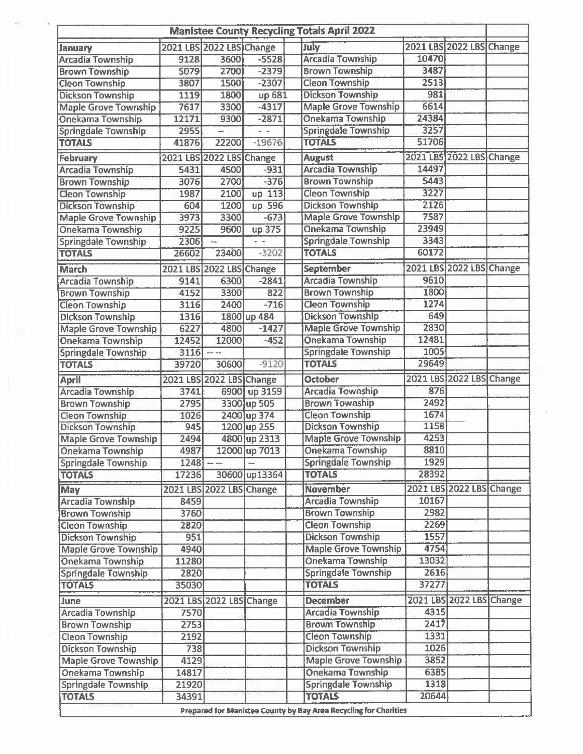|                                                  |                          |                                                                                                                                                                                                                                                                                                                                                                                              |               | <b>Manistee County Recycling Totals April 2022</b> |       |                          |  |
|--------------------------------------------------|--------------------------|----------------------------------------------------------------------------------------------------------------------------------------------------------------------------------------------------------------------------------------------------------------------------------------------------------------------------------------------------------------------------------------------|---------------|----------------------------------------------------|-------|--------------------------|--|
| January                                          | 2021 LBS 2022 LBS Change |                                                                                                                                                                                                                                                                                                                                                                                              |               | July                                               |       | 2021 LBS 2022 LBS Change |  |
| <b>Arcadia Township</b>                          | 9128                     | 3600                                                                                                                                                                                                                                                                                                                                                                                         | $-5528$       | <b>Arcadia Township</b>                            | 10470 |                          |  |
| <b>Brown Township</b>                            | 5079                     | 2700                                                                                                                                                                                                                                                                                                                                                                                         | $-2379$       | <b>Brown Township</b>                              | 3487  |                          |  |
| <b>Cleon Township</b>                            | 3807                     | 1500                                                                                                                                                                                                                                                                                                                                                                                         | $-2307$       | <b>Cleon Township</b>                              | 2513  |                          |  |
| <b>Dickson Township</b>                          | 1119                     | 1800                                                                                                                                                                                                                                                                                                                                                                                         | up 681        | <b>Dickson Township</b>                            | 981   |                          |  |
| <b>Maple Grove Township</b>                      | 7617                     | 3300                                                                                                                                                                                                                                                                                                                                                                                         | $-4317$       | <b>Maple Grove Township</b>                        | 6614  |                          |  |
| <b>Onekama Township</b>                          | 12171                    | 9300                                                                                                                                                                                                                                                                                                                                                                                         | $-2871$       | Onekama Township                                   | 24384 |                          |  |
| <b>Springdale Township</b>                       | 2955                     |                                                                                                                                                                                                                                                                                                                                                                                              | $ -$          | <b>Springdale Township</b>                         | 3257  |                          |  |
| <b>TOTALS</b>                                    | 41876                    | 22200                                                                                                                                                                                                                                                                                                                                                                                        | -19676        | <b>TOTALS</b>                                      | 51706 |                          |  |
| February                                         |                          | 2021 LBS 2022 LBS Change                                                                                                                                                                                                                                                                                                                                                                     |               | <b>August</b>                                      |       | 2021 LBS 2022 LBS Change |  |
| <b>Arcadia Township</b>                          | 5431                     | 4500                                                                                                                                                                                                                                                                                                                                                                                         | $-931$        | <b>Arcadia Township</b>                            | 14497 |                          |  |
| <b>Brown Township</b>                            | 3076                     | 2700                                                                                                                                                                                                                                                                                                                                                                                         | $-376$        | <b>Brown Township</b>                              | 5443  |                          |  |
| <b>Cleon Township</b>                            | 1987                     | 2100                                                                                                                                                                                                                                                                                                                                                                                         | up 113        | <b>Cleon Township</b>                              | 3227  |                          |  |
| <b>Dickson Township</b>                          | 604                      | 1200                                                                                                                                                                                                                                                                                                                                                                                         | up 596        | <b>Dickson Township</b>                            | 2126  |                          |  |
| <b>Maple Grove Township</b>                      | 3973                     | 3300                                                                                                                                                                                                                                                                                                                                                                                         | $-673$        | <b>Maple Grove Township</b>                        | 7587  |                          |  |
| <b>Onekama Township</b>                          | 9225                     | 9600                                                                                                                                                                                                                                                                                                                                                                                         | up 375        | Onekama Township                                   | 23949 |                          |  |
| <b>Springdale Township</b>                       | 2306                     | $\sim$                                                                                                                                                                                                                                                                                                                                                                                       | $\sim$ $-$    | <b>Springdale Township</b>                         | 3343  |                          |  |
| <b>TOTALS</b>                                    | 26602                    | 23400                                                                                                                                                                                                                                                                                                                                                                                        | $-3202$       | <b>TOTALS</b>                                      | 60172 |                          |  |
|                                                  |                          |                                                                                                                                                                                                                                                                                                                                                                                              |               | <b>September</b>                                   |       | 2021 LBS 2022 LBS Change |  |
| <b>March</b>                                     | 9141                     | 2021 LBS 2022 LBS Change<br>6300                                                                                                                                                                                                                                                                                                                                                             | $-2841$       | <b>Arcadia Township</b>                            | 9610  |                          |  |
| <b>Arcadia Township</b><br><b>Brown Township</b> | 4152                     | 3300                                                                                                                                                                                                                                                                                                                                                                                         | 822           | <b>Brown Township</b>                              | 1800  |                          |  |
| <b>Cleon Township</b>                            | 3116                     | 2400                                                                                                                                                                                                                                                                                                                                                                                         | $-716$        | <b>Cleon Township</b>                              | 1274  |                          |  |
| <b>Dickson Township</b>                          | 1316                     |                                                                                                                                                                                                                                                                                                                                                                                              | 1800 up 484   | <b>Dickson Township</b>                            | 649   |                          |  |
| <b>Maple Grove Township</b>                      | 6227                     | 4800                                                                                                                                                                                                                                                                                                                                                                                         | $-1427$       | <b>Maple Grove Township</b>                        | 2830  |                          |  |
| <b>Onekama Township</b>                          | 12452                    | 12000                                                                                                                                                                                                                                                                                                                                                                                        | $-452$        | <b>Onekama Township</b>                            | 12481 |                          |  |
| <b>Springdale Township</b>                       | 3116                     | $\frac{1}{2} \frac{1}{2} \frac{1}{2} \frac{1}{2} \frac{1}{2} \frac{1}{2} \frac{1}{2} \frac{1}{2} \frac{1}{2} \frac{1}{2} \frac{1}{2} \frac{1}{2} \frac{1}{2} \frac{1}{2} \frac{1}{2} \frac{1}{2} \frac{1}{2} \frac{1}{2} \frac{1}{2} \frac{1}{2} \frac{1}{2} \frac{1}{2} \frac{1}{2} \frac{1}{2} \frac{1}{2} \frac{1}{2} \frac{1}{2} \frac{1}{2} \frac{1}{2} \frac{1}{2} \frac{1}{2} \frac{$ |               | <b>Springdale Township</b>                         | 1005  |                          |  |
| <b>TOTALS</b>                                    | 39720                    | 30600                                                                                                                                                                                                                                                                                                                                                                                        | $-9120$       | <b>TOTALS</b>                                      | 29649 |                          |  |
| <b>April</b>                                     |                          | 2021 LBS 2022 LBS Change                                                                                                                                                                                                                                                                                                                                                                     |               | <b>October</b>                                     |       | 2021 LBS 2022 LBS Change |  |
| <b>Arcadia Township</b>                          | 3741                     |                                                                                                                                                                                                                                                                                                                                                                                              | 6900 up 3159  | <b>Arcadia Township</b>                            | 876   |                          |  |
| <b>Brown Township</b>                            | 2795                     |                                                                                                                                                                                                                                                                                                                                                                                              | 3300 up 505   | <b>Brown Township</b>                              | 2492  |                          |  |
| <b>Cleon Township</b>                            | 1026                     |                                                                                                                                                                                                                                                                                                                                                                                              | 2400 up 374   | <b>Cleon Township</b>                              | 1674  |                          |  |
| <b>Dickson Township</b>                          | 945                      |                                                                                                                                                                                                                                                                                                                                                                                              | 1200 up 255   | <b>Dickson Township</b>                            | 1158  |                          |  |
| <b>Maple Grove Township</b>                      | 2494                     |                                                                                                                                                                                                                                                                                                                                                                                              | 4800 up 2313  | <b>Maple Grove Township</b>                        | 4253  |                          |  |
| <b>Onekama Township</b>                          | 4987                     |                                                                                                                                                                                                                                                                                                                                                                                              | 12000 up 7013 | <b>Onekama Township</b>                            | 8810  |                          |  |
| <b>Springdale Township</b>                       | 1248                     | aa aa                                                                                                                                                                                                                                                                                                                                                                                        |               | <b>Springdale Township</b>                         | 1929  |                          |  |
| <b>TOTALS</b>                                    | 17236                    |                                                                                                                                                                                                                                                                                                                                                                                              | 30600 up13364 | <b>TOTALS</b>                                      | 28392 |                          |  |
|                                                  |                          |                                                                                                                                                                                                                                                                                                                                                                                              |               |                                                    |       |                          |  |
| <b>May</b>                                       |                          | 2021 LBS 2022 LBS Change                                                                                                                                                                                                                                                                                                                                                                     |               | <b>November</b>                                    |       | 2021 LBS 2022 LBS Change |  |
| <b>Arcadia Township</b>                          | 8459                     |                                                                                                                                                                                                                                                                                                                                                                                              |               | <b>Arcadia Township</b>                            | 10167 |                          |  |
| <b>Brown Township</b>                            | 3760                     |                                                                                                                                                                                                                                                                                                                                                                                              |               | <b>Brown Township</b>                              | 2982  |                          |  |
| <b>Cleon Township</b>                            | 2820                     |                                                                                                                                                                                                                                                                                                                                                                                              |               | <b>Cleon Township</b>                              | 2269  |                          |  |
| <b>Dickson Township</b>                          | 951                      |                                                                                                                                                                                                                                                                                                                                                                                              |               | <b>Dickson Township</b>                            | 1557  |                          |  |
| <b>Maple Grove Township</b>                      | 4940                     |                                                                                                                                                                                                                                                                                                                                                                                              |               | <b>Maple Grove Township</b>                        | 4754  |                          |  |
| <b>Onekama Township</b>                          | 11280                    |                                                                                                                                                                                                                                                                                                                                                                                              |               | <b>Onekama Township</b>                            | 13032 |                          |  |
| <b>Springdale Township</b>                       | 2820                     |                                                                                                                                                                                                                                                                                                                                                                                              |               | <b>Springdale Township</b>                         | 2616  |                          |  |
| <b>TOTALS</b>                                    | 35030                    |                                                                                                                                                                                                                                                                                                                                                                                              |               | <b>TOTALS</b>                                      | 37277 |                          |  |
| June                                             |                          | 2021 LBS 2022 LBS Change                                                                                                                                                                                                                                                                                                                                                                     |               | <b>December</b>                                    |       | 2021 LBS 2022 LBS Change |  |
| <b>Arcadia Township</b>                          | 7570                     |                                                                                                                                                                                                                                                                                                                                                                                              |               | <b>Arcadia Township</b>                            | 4315  |                          |  |
| <b>Brown Township</b>                            | 2753                     |                                                                                                                                                                                                                                                                                                                                                                                              |               | <b>Brown Township</b>                              | 2417  |                          |  |
| <b>Cleon Township</b>                            | 2192                     |                                                                                                                                                                                                                                                                                                                                                                                              |               | <b>Cleon Township</b>                              | 1331  |                          |  |
| <b>Dickson Township</b>                          | 738                      |                                                                                                                                                                                                                                                                                                                                                                                              |               | <b>Dickson Township</b>                            | 1026  |                          |  |
| <b>Maple Grove Township</b>                      | 4129                     |                                                                                                                                                                                                                                                                                                                                                                                              |               | <b>Maple Grove Township</b>                        | 3852  |                          |  |
| Onekama Township                                 | 14817                    |                                                                                                                                                                                                                                                                                                                                                                                              |               | <b>Onekama Township</b>                            | 6385  |                          |  |
| <b>Springdale Township</b>                       | 21920                    |                                                                                                                                                                                                                                                                                                                                                                                              |               | <b>Springdale Township</b>                         | 1318  |                          |  |
| <b>TOTALS</b>                                    | 34391                    |                                                                                                                                                                                                                                                                                                                                                                                              |               | <b>TOTALS</b>                                      | 20644 |                          |  |

ij.

S,

 $\overline{a}$